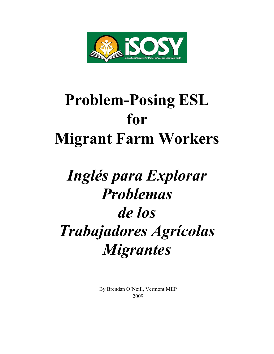

## **Problem-Posing ESL for Migrant Farm Workers**

# *Inglés para Explorar Problemas de los Trabajadores Agrícolas Migrantes*

By Brendan O'Neill, Vermont MEP 2009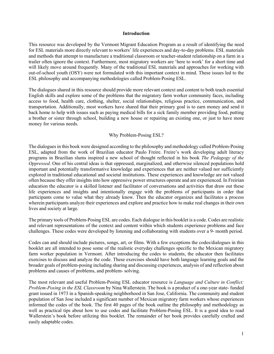#### **Introduction**

This resource was developed by the Vermont Migrant Education Program as a result of identifying the need for ESL materials more directly relevant to workers' life experiences and day-to-day problems. ESL materials and methods that attempt to manufacture a traditional classroom or teacher-student relationship on a farm in a trailer often ignore the context. Furthermore, most migratory workers are 'here to work' for a short time and will likely move around frequently. Many of the traditional ESL materials and approaches for working with out-of-school youth (OSY) were not formulated with this important context in mind. These issues led to the ESL philosophy and accompanying methodologies called Problem-Posing ESL.

The dialogues shared in this resource should provide more relevant context and content to both teach essential English skills and explore some of the problems that the migratory farm worker community faces, including access to food, health care, clothing, shelter, social relationships, religious practice, communication, and transportation. Additionally, most workers have shared that their primary goal is to earn money and send it back home to help with issues such as paying medical bills for a sick family member providing food, putting a brother or sister through school, building a new house or repairing an existing one, or just to have more money for various needs.

#### Why Problem-Posing ESL?

The dialogues in this book were designed according to the philosophy and methodology called Problem-Posing ESL, adapted from the work of Brazilian educator Paulo Freire. Freire's work developing adult literacy programs in Brazilian slums inspired a new school of thought reflected in his book *The Pedagogy of the Oppressed*. One of his central ideas is that oppressed, marginalized, and otherwise silenced populations hold important and potentially transformative knowledge and experiences that are neither valued nor sufficiently explored in traditional educational and societal institutions. These experiences and knowledge are not valued often because they offer insights into how oppressive power structures operate and are experienced. In Freirian education the educator is a skilled listener and facilitator of conversations and activities that draw out these life experiences and insights and intentionally engage with the problems of participants in order that participants come to value what they already know. Then the educator organizes and facilitates a process wherein participants analyze their experiences and explore and practice how to make real changes in their own lives and society at large.

The primary tools of Problem-Posing ESL are codes. Each dialogue in this booklet is a code. Codes are realistic and relevant representations of the context and content within which students experience problems and face challenges. These codes were developed by listening and collaborating with students over a 9- month period.

Codes can and should include pictures, songs, art, or films. With a few exceptions the codes/dialogues in this booklet are all intended to pose some of the realistic everyday challenges specific to the Mexican migratory farm worker population in Vermont. After introducing the codes to students, the educator then facilitates exercises to discuss and analyze the code. These exercises should have both language learning goals and the broader goals of problem-posing including sharing and discussing experiences, analysis of and reflection about problems and causes of problems, and problem- solving.

The most relevant and useful Problem-Posing ESL educator resource is *Language and Culture in Conflict: Problem-Posing in the ESL Classroom* by Nina Wallerstein. The book is a product of a one-year state- funded grant issued in 1973 in a Spanish-speaking neighborhood in San Jose, California. The community and student population of San Jose included a significant number of Mexican migratory farm workers whose experiences informed the codes of the book. The first 40 pages of the book outline the philosophy and methodology as well as practical tips about how to use codes and facilitate Problem-Posing ESL. It is a good idea to read Wallerstein's book before utilizing this booklet. The remainder of her book provides carefully crafted and easily adaptable codes.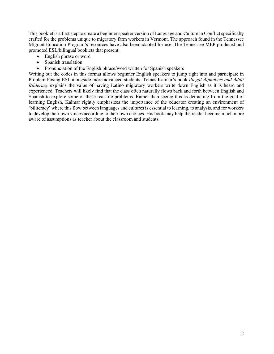This booklet is a first step to create a beginner speaker version of Language and Culture in Conflict specifically crafted for the problems unique to migratory farm workers in Vermont. The approach found in the Tennessee Migrant Education Program's resources have also been adapted for use. The Tennessee MEP produced and promoted ESL/bilingual booklets that present:

- English phrase or word
- Spanish translation
- Pronunciation of the English phrase/word written for Spanish speakers

Writing out the codes in this format allows beginner English speakers to jump right into and participate in Problem-Posing ESL alongside more advanced students. Tomas Kalmar's book *Illegal Alphabets and Adult Biliteracy* explains the value of having Latino migratory workers write down English as it is heard and experienced. Teachers will likely find that the class often naturally flows back and forth between English and Spanish to explore some of these real-life problems. Rather than seeing this as detracting from the goal of learning English, Kalmar rightly emphasizes the importance of the educator creating an environment of 'biliteracy' where this flow between languages and cultures is essential to learning, to analysis, and for workers to develop their own voices according to their own choices. His book may help the reader become much more aware of assumptions as teacher about the classroom and students.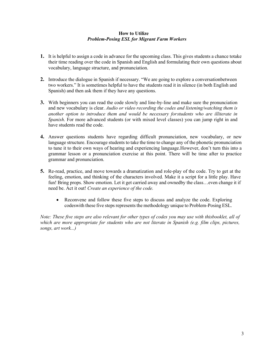#### **How to Utilize** *Problem-Posing ESL for Migrant Farm Workers*

- **1.** It is helpful to assign a code in advance for the upcoming class. This gives students a chance totake their time reading over the code in Spanish and English and formulating their own questions about vocabulary, language structure, and pronunciation.
- **2.** Introduce the dialogue in Spanish if necessary. "We are going to explore a conversationbetween two workers." It is sometimes helpful to have the students read it in silence (in both English and Spanish) and then ask them if they have any questions.
- **3.** With beginners you can read the code slowly and line-by-line and make sure the pronunciation and new vocabulary is clear. *Audio or video recording the codes and listening/watching them is another option to introduce them and would be necessary forstudents who are illiterate in Spanish*. For more advanced students (or with mixed level classes) you can jump right in and have students read the code.
- **4.** Answer questions students have regarding difficult pronunciation, new vocabulary, or new language structure. Encourage students to take the time to change any of the phonetic pronunciation to tune it to their own ways of hearing and experiencing language.However, don't turn this into a grammar lesson or a pronunciation exercise at this point. There will be time after to practice grammar and pronunciation.
- **5.** Re-read, practice, and move towards a dramatization and role-play of the code. Try to get at the feeling, emotion, and thinking of the characters involved. Make it a script for a little play. Have fun! Bring props. Show emotion. Let it get carried away and ownedby the class...even change it if need be. Act it out! *Create an experience of the code.*
	- Reconvene and follow these five steps to discuss and analyze the code. Exploring codes with these five steps represents the methodology unique to Problem-Posing ESL.

*Note: These five steps are also relevant for other types of codes you may use with thisbooklet, all of which are more appropriate for students who are not literate in Spanish (e.g. film clips, pictures, songs, art work...)*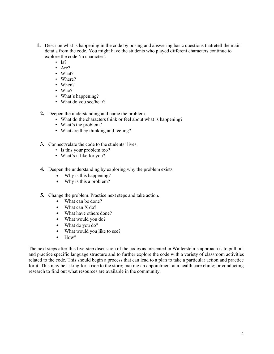- **1.** Describe what is happening in the code by posing and answering basic questions thatretell the main details from the code. You might have the students who played different characters continue to explore the code 'in character'.
	- $Is?$
	- Are?
	- What?
	- Where?
	- When?
	- Who?
	- What's happening?
	- What do you see/hear?
	- **2.** Deepen the understanding and name the problem.
		- What do the characters think or feel about what is happening?
		- What's the problem?
		- What are they thinking and feeling?
	- **3.** Connect/relate the code to the students' lives.
		- Is this your problem too?
		- What's it like for you?
	- **4.** Deepen the understanding by exploring why the problem exists.
		- Why is this happening?
		- Why is this a problem?
	- **5.** Change the problem. Practice next steps and take action.
		- What can be done?
		- What can X do?
		- What have others done?
		- What would you do?
		- What do you do?
		- What would you like to see?
		- How?

The next steps after this five-step discussion of the codes as presented in Wallerstein's approach is to pull out and practice specific language structure and to further explore the code with a variety of classroom activities related to the code. This should begin a process that can lead to a plan to take a particular action and practice for it. This may be asking for a ride to the store; making an appointment at a health care clinic; or conducting research to find out what resources are available in the community.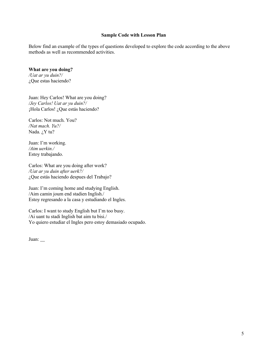#### **Sample Code with Lesson Plan**

Below find an example of the types of questions developed to explore the code according to the above methods as well as recommended activities.

#### **What are you doing?**

*/Uat ar yu duin?/* ¿Que estas haciendo?

Juan: Hey Carlos! What are you doing? */Jey Carlos! Uat ar yu duin?/* ¡Hola Carlos! ¿Que estás haciendo?

Carlos: Not much. You? */Nat mach. Yu?/* Nada. ¿Y tu?

Juan: I'm working. */Aim uerkin./* Estoy trabajando.

Carlos: What are you doing after work? */Uat ar yu duin after uerk?/* ¿Que estás haciendo despues del Trabajo?

Juan: I'm coming home and studying English. /Aim camin joum end stadien Inglish./ Estoy regresando a la casa y estudiando el Ingles.

Carlos: I want to study English but I'm too busy. /Ai uant tu stadi Inglish bat aim tu bisi./ Yo quiero estudiar el Ingles pero estoy demasiado ocupado.

Juan: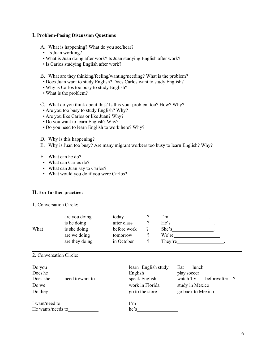#### **I. Problem-Posing Discussion Questions**

- A. What is happening? What do you see/hear?
- Is Juan working?
- What is Juan doing after work? Is Juan studying English after work?
- Is Carlos studying English after work?
- B. What are they thinking/feeling/wanting/needing? What is the problem?
- Does Juan want to study English? Does Carlos want to study English?
- Why is Carlos too busy to study English?
- What is the problem?
- C. What do you think about this? Is this your problem too? How? Why?
- Are you too busy to study English? Why?
- Are you like Carlos or like Juan? Why?
- Do you want to learn English? Why?
- Do you need to learn English to work here? Why?
- D. Why is this happening?
- E. Why is Juan too busy? Are many migrant workers too busy to learn English? Why?
- F. What can he do?
- What can Carlos do?
- What can Juan say to Carlos?
- What would you do if you were Carlos?

#### **II. For further practice:**

1. Conversation Circle:

|      | are you doing  | today       | l'm     |
|------|----------------|-------------|---------|
|      | is he doing    | after class | He's    |
| What | is she doing   | before work | She's   |
|      | are we doing   | tomorrow    | We're   |
|      | are they doing | in October  | They're |

#### 2. Conversation Circle:

| Do you<br>Does he<br>Does she       | need to/want to | learn English study<br>English<br>speak English | Eat<br>lunch<br>play soccer<br>watch TV<br>before/after? |
|-------------------------------------|-----------------|-------------------------------------------------|----------------------------------------------------------|
| Do we<br>Do they                    |                 | work in Florida<br>go to the store              | study in Mexico<br>go back to Mexico                     |
| I want/need to<br>He wants/needs to |                 | I'm<br>he's                                     |                                                          |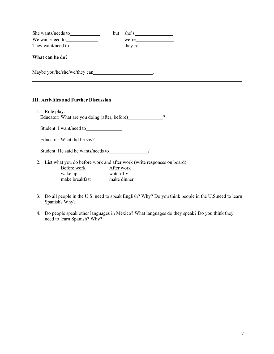| She wants/needs to | but she's |
|--------------------|-----------|
| We want/need to    | we're     |
| They want/need to  | they're   |

#### **What can he do?**

Maybe you/he/she/we/they can .

#### **III. Activities and Further Discussion**

1. Role play: Educator: What are you doing (after, before) 2

Student: I want/need to \_\_\_\_\_\_\_\_\_\_\_\_\_\_\_\_\_\_\_\_.

Educator: What did he say?

Student: He said he wants/needs to \_\_\_\_\_\_\_\_\_\_\_\_\_\_\_\_?

2. List what you do before work and after work (write responses on board)

| Before work    | After work  |
|----------------|-------------|
| wake up        | watch TV    |
| make breakfast | make dinner |

- 3. Do all people in the U.S. need to speak English? Why? Do you think people in the U.S.need to learn Spanish? Why?
- 4. Do people speak other languages in Mexico? What languages do they speak? Do you think they need to learn Spanish? Why?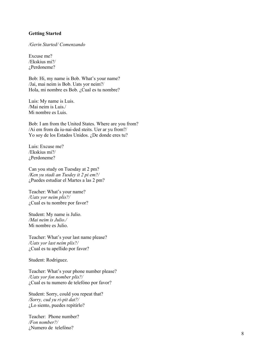#### **Getting Started**

*/Gerin Started/ Comenzando*

Excuse me? /Ekskius mi?/ ¿Perdoneme?

Bob: Hi, my name is Bob. What's your name? /Jai, mai neim is Bob. Uats yor neim?/ Hola, mi nombre es Bob. ¿Cual es tu nombre?

Luis: My name is Luis. /Mai neim is Luis./ Mi nombre es Luis.

Bob: I am from the United States. Where are you from? /Ai em from da iu -nai -ded steits. Uer ar yu from?/ Yo soy de los Estados Unidos. ¿De donde eres tu?

Luis: Excuse me? /Ekskius mi?/ ¿Perdoneme?

Can you study on Tuesday at 2 pm? */Ken yu stadi an Tusdey it 2 pi em?/* ¿Puedes estudiar el Martes a las 2 pm?

Teacher: What's your name? */Uats yor neim plis?/* ¿Cual es tu nombre por favor?

Student: My name is Julio. */Mai neim is Julio./* Mi nombre es Julio.

Teacher: What's your last name please? */Uats yor last neim plis?/* ¿Cual es tu apellido por favor?

Student: Rodriguez.

Teacher: What's your phone number please? */Uats yor fon nomber plis?/* ¿Cual es tu numero de telefóno por favor?

Student: Sorry, could you repeat that? */Sorry, cud yu ri -pit dat?/* ¿Lo siento, puedes repitirlo?

Teacher: Phone number? */Fon nomber?/* ¿Numero de telefóno ?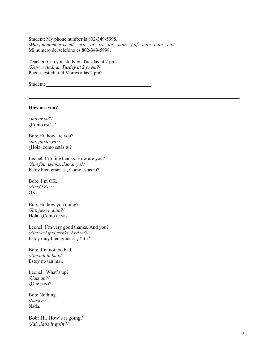Student: My phone number is 802-349-5998. */Mai fon nomber is eit - ziro – tu – tri—for—nain—faif—nain--nain—eit./* Mi numero del telefóno es 802-349-5998.

Teacher: Can you study on Tuesday at 2 pm? */Ken yu stadi an Tusdey at 2 pi em?/* Puedes estudiar el Martes a las 2 pm?

Student:

#### **How are you?**

*/Jao ar yu?/* ¿Como estás?

Bob: Hi, how are you? */Jai, jao ar yu?/* ¿Hola, como estás tu?

Leonel: I'm fine thanks. How are you? */Aim fain tsenks. Jao ar yu?/* Estoy bien gracias. ¿Como estás tu?

Bob: I'm OK. */Aim O Key./* OK.

Bob: Hi, how you doing? */Jai, jao yu duin?/* Hola. ¿Como te va?

Leonel: I'm very good thanks. And you? */Aim veri gud tsenks. End yu?/* Estoy muy bien gracias.  $\chi$ Y tu?

Bob: I'm not too bad. */Aim nat tu bad./* Estoy no tan mal.

Leonel: What's up? */Uats ap?/* ¿Que pasa?

Bob: Nothing. */Natsen./* Nada.

Bob: Hi. How's it going? */Jai. Jaos it goin?/*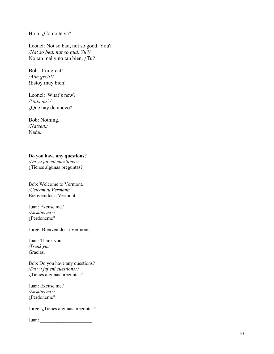Hola. ¿Como te va?

Leonel: Not so bad, not so good. You? */Nat so bed, nat so gud. Yu?/* No tan mal y no tan bien. ¿Tu?

Bob: I'm great! */Aim greit!/* !Estoy muy bien!

Leonel: What's new? */Uats nu?/* ¿Que hay de nuevo?

Bob: Nothing. */Natsen./* Nada.

#### **Do you have any questions?**

*/Du yu jaf eni cuestions?/* ¿Tienes algunas preguntas?

Bob: Welcome to Vermont. */Uelcam tu Vermant/* Bienvenidos a Vermont .

Juan: Excuse me? */Ekskius mi?/* ¿Perdoneme?

Jorge: Bienvenidos a Vermont.

Juan: Thank you. */Tsenk yu./* Gracias.

Bob: Do you have any questions? */Du yu jaf eni cuestions?/* ¿Tienes algunas preguntas?

Juan: Excuse me? */Ekskius mi?/* ¿Perdoneme?

Jorge: ¿Tienes algunas preguntas?

Juan: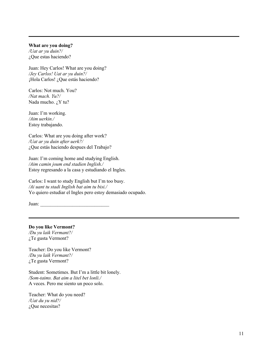#### **What are you doing?**

*/Uat ar yu duin?/* ¿Que estas haciendo?

Juan: Hey Carlos! What are you doing? */Jey Carlos! Uat ar yu duin?/* ¡Hola Carlos! ¿Que estás haciendo?

Carlos: Not much. You? */Nat mach. Yu?/* Nada mucho. ¿Y tu?

Juan: I'm working. */Aim uerkin./* Estoy trabajando.

Carlos: What are you doing after work? */Uat ar yu duin after uerk?/* ¿Que estás haciendo despues del Trabajo?

Juan: I'm coming home and studying English. */Aim camin joum end stadien Inglish./* Estoy regresando a la casa y estudiando el Ingles.

Carlos: I want to study English but I'm too busy. */Ai uant tu stadi Inglish bat aim tu bisi./* Yo quiero estudiar el Ingles pero estoy demasiado ocupado.

Juan:

**Do you like Vermont?**

*/Du yu laik Vermant?/* ¿Te gusta Vermont?

Teacher: Do you like Vermont? */Du yu laik Vermant?/* ¿Te gusta Vermont?

Student: Sometimes. But I'm a little bit lonely. */Som-taims. Bat aim a litel bet lonli./* A veces. Pero me siento un poco solo.

Teacher: What do you need? */Uat du yu nid?/* ¿Que necesitas?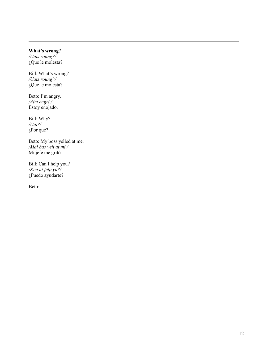#### **What's wrong?**

*/Uats roung?/* ¿Que le molesta?

Bill: What's wrong? */Uats roung?/* ¿Que le molesta?

Beto: I'm angry. */Aim engri./* Estoy enojado.

Bill: Why? */Uai?/* ¿Por que?

Beto: My boss yelled at me. */Mai bas yelt at mi./* Mi jefe me gritó.

Bill: Can I help you? */Ken ai jelp yu?/* ¿Puedo ayudarte?

Beto: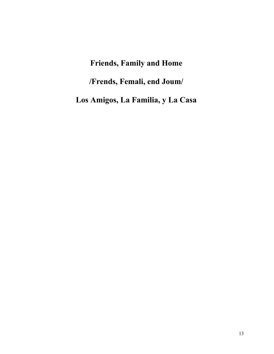### **Friends, Family and Home**

**/Frends, Femali, end Joum/**

**Los Amigos, La Familia, y La Casa**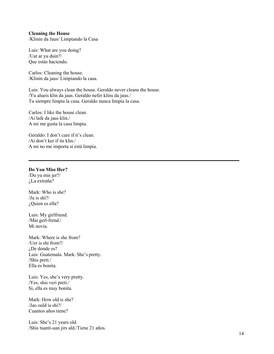#### **Cleaning the House**

/Klinin da Jaus/ Limpiando la Casa

Luis: What are you doing? /Uat ar yu duin?/ Que estás haciendo.

Carlos: Cleaning the house. /Klinin da jaus/ Limpiando la casa.

Luis: You always clean the house. Geraldo never cleans the house. /Yu alueis klin da jaus. Geraldo nefer klins da jaus./ Tu siempre limpia la casa. Geraldo nunca limpia la casa.

Carlos: I like the house clean. /Ai laik da jaus klin./ A mi me gusta la casa limpia.

Geraldo: I don't care if it's clean. /Ai don't ker if its klin./ A mi no me importa si está limpia.

#### **Do You Miss Her?**

/Du yu mis jer?/ ¿La extraña?

Mark: Who is she? /Ju is shi?/ ¿Quien es ella?

Luis: My girlfriend. /Mai gerl-frend./ Mi novia.

Mark: Where is she from? /Uer is shi from?/ ¿De donde es? Luis: Guatemala. Mark: She's pretty. /Shis preti./ Ella es bonita.

Luis: Yes, she's very pretty. /Yes, shis veri preti./ Si, ella es muy bonita.

Mark: How old is she? /Jao ould is shi?/ Cuantos años tiene?

Luis: She's 21 years old. /Shis tuanti-uan jirs ald./Tiene 21 años.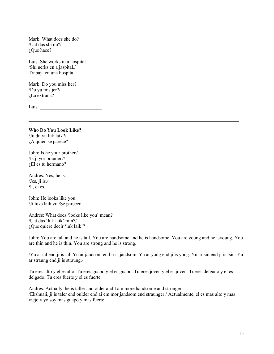Mark: What does she do? /Uat das shi du?/ ¿Que hace?

Luis: She works in a hospital. /Shi uerks en a jaspital./ Trabaja en una hospital.

Mark: Do you miss her? /Du yu mis jer?/ ¿La extraña?

Luis:

**Who Do You Look Like?** /Ju du yu luk laik?/ ¿A quien se parece?

John: Is he your brother? /Is ji yor brauder?/  $i$ , El es tu hermano?

Andres: Yes, he is. /Jes, ji is./ Si, el es.

John: He looks like you. /Ji luks laik yu./Se parecen.

Andres: What does 'looks like you' mean? /Uat das 'luk laik' min?/ ¿Que quiere decir 'luk laik'?

John: You are tall and he is tall. You are handsome and he is handsome. You are young and he isyoung. You are thin and he is thin. You are strong and he is strong.

/Yu ar tal end ji is tal. Yu ar jandsom end ji is jandsom. Yu ar yong end ji is yong. Yu artsin end ji is tsin. Yu ar straung end ji is straung./

Tu eres alto y el es alto. Tu eres guapo y el es guapo. Tu eres joven y el es joven. Tueres delgado y el es delgado. Tu eres fuerte y el es fuerte.

Andres: Actually, he is taller and older and I am more handsome and stronger. /Ekshuali, ji is taler end oulder end ai em mor jandsom end straunger./ Actualmente, el es mas alto y mas viejo y yo soy mas guapo y mas fuerte.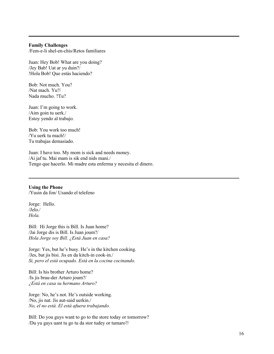#### **Family Challenges**

/Fem-e-li shel-en-chis/Retos familiares

Juan: Hey Bob! What are you doing? /Jey Bab! Uat ar yu duin?/ !Hola Bob! Que estás haciendo?

Bob: Not much. You? /Nat mach. Yu?/ Nada mucho. ?Tu?

Juan: I'm going to work. /Aim goin tu uerk./ Estoy yendo al trabajo.

Bob: You work too much! /Yu uerk tu mach!/ Tu trabajas demasiado.

Juan: I have too. My mom is sick and needs money. /Ai jaf tu. Mai mam is sik end nids mani./ Tengo que hacerlo. Mi madre esta enferma y necesita el dinero.

**Using the Phone** /Yusin da fon/ Usando el telefeno

Jorge: Hello.  $/$ Jelo. $/$ *Hola.*

Bill: Hi Jorge this is Bill. Is Juan home? /Jai Jorge dis is Bill. Is Juan joum?/ *Hola Jorge soy Bill. ¿Está Juan en casa?*

Jorge: Yes, but he's busy. He's in the kitchen cooking. /Jes, bat jis bisi. Jis en da kitch-in cook-in./ *Si, pero el está ocupado. Está en la cocina cocinando.*

Bill: Is his brother Arturo home? /Is jis brau-der Arturo joum?/ *¿Está en casa su hermano Arturo?*

Jorge: No, he's not. He's outside working. /No, jis nat. Jis aut-said uerkin./ *No, el no está. El está afuera trabajando.*

Bill: Do you guys want to go to the store today or tomorrow? /Du yu gays uant tu go tu da stor tudey or tumaro?/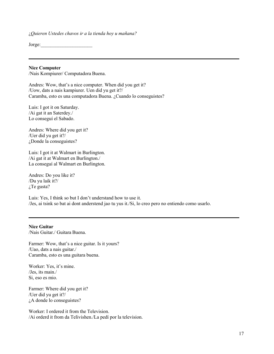¿*Quieren Ustedes chavos ir a la tienda hoy u mañana?*

Jorge:

#### **Nice Computer**

/Nais Kompiurer/ Computadora Buena.

Andres: Wow, that's a nice computer. When did you get it? /Uow, dats a nais kampiurer. Uen did yu get it?/ Caramba, esto es una computadora Buena. ¿Cuando lo conseguistes?

Luis: I got it on Saturday. /Ai gat it an Saterdey./ Lo conseguí el Sabado.

Andres: Where did you get it? /Uer did yu get it?/ ¿Donde la conseguistes?

Luis: I got it at Walmart in Burlington. /Ai gat it at Walmart en Burlington./ La conseguí al Walmart en Burlington.

Andres: Do you like it? /Du yu laik it?/ ¿Te gusta?

Luis: Yes, I think so but I don't understand how to use it. /Jes, ai tsink so bat ai dont anderstend jao tu yus it./Si, lo creo pero no entiendo como usarlo.

#### **Nice Guitar**

/Nais Guitar./ Guitara Buena.

Farmer: Wow, that's a nice guitar. Is it yours? /Uao, dats a nais guitar./ Caramba, esto es una guitara buena.

Worker: Yes, it's mine. /Jes, its main./ Si, eso es mio.

Farmer: Where did you get it? /Uer did yu get it?/ ¿A donde lo conseguistes?

Worker: I ordered it from the Television. /Ai orderd it from da Telivishen./La pedí por la television.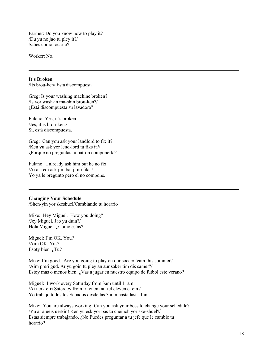Farmer: Do you know how to play it? /Du yu no jao tu pley it?/ Sabes como tocarlo?

Worker: No.

#### **It's Broken**

/Its brou-ken/ Está discompuesta

Greg: Is your washing machine broken? /Is yor wash-in ma-shin brou-ken?/ ¿Está discompuesta su lavadora?

Fulano: Yes, it's broken. /Jes, it is brou-ken./ Si, está discompuesta.

Greg: Can you ask your landlord to fix it? /Ken yu ask yor lend-lord tu fiks it?/ ¿Porque no preguntas tu patron componerla?

Fulano: I already ask him but he no fix. /Ai al-redi ask jim bat ji no fiks./ Yo ya le pregunto pero el no compone.

#### **Changing Your Schedule**

/Shen-yin yor skeshuel/Cambiando tu horario

Mike: Hey Miguel. How you doing? /Jey Miguel. Jao yu duin?/ Hola Miguel. ¿Como estás?

Miguel: I'm OK. You? /Aim OK. Yu?/ Esoty bien. ¿Tu?

Mike: I'm good. Are you going to play on our soccer team this summer? /Aim preri gud. Ar yu goin tu pley an aur saker tím dis samer?/ Estoy mas o menos bien. ¿Vas a jugar en nuestro equipo de futbol este verano?

Miguel: I work every Saturday from 3am until 11am. /Ai uerk efri Saterdey from tri ei em an-tel eleven ei em./ Yo trabajo todos los Sabados desde las 3 a.m hasta last 11am.

Mike: You are always working! Can you ask your boss to change your schedule? /Yu ar alueis uerkin! Ken yu esk yor bas tu cheinch yor ske-shuel?/ Estas siempre trabajando. ¿No Puedes preguntar a tu jefe que le cambie tu horario?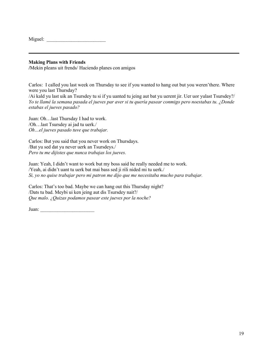| Miguel: |  |
|---------|--|
|         |  |

#### **Making Plans with Friends**

**/**Mekin pleans uit frends/ Haciendo planes con amigos

Carlos: I called you last week on Thursday to see if you wanted to hang out but you weren'there. Where were you last Thursday?

/Ai kald yu last uik an Tsursdey tu si if yu uanted tu jeing aut bat yu uerent jir. Uer uor yulast Tsursdey?/ *Yo te llamé la semana pasada el jueves par aver si tu quería pasear conmigo pero noestabas tu. ¿Donde estabas el jueves pasado?*

Juan: Oh…last Thursday I had to work. /Oh…last Tsursdey ai jad tu uerk./ *Oh…el jueves pasado tuve que trabajar.*

Carlos: But you said that you never work on Thursdays. /Bat yu sed dat yu never uerk an Tsursdeys./ *Pero tu me dijistes que nunca trabajas los jueves.*

Juan: Yeah, I didn't want to work but my boss said he really needed me to work. /Yeah, ai didn't uant tu uerk bat mai bass sed ji rili nided mi tu uerk./ *Si, yo no quise trabajar pero mi patron me dijo que me necesitaba mucho para trabajar.*

Carlos: That's too bad. Maybe we can hang out this Thursday night? /Dats tu bad. Meybi ui ken jeing aut dis Tsursdey nait?/ *Que malo. ¿Quizas podamos pasear este jueves por la noche?*

Juan: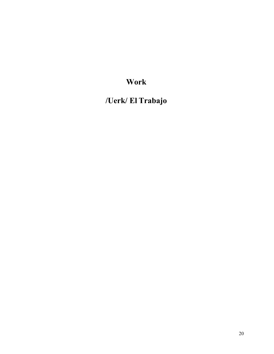### **Work**

**/Uerk/ El Trabajo**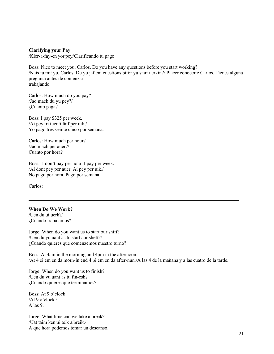**Clarifying your Pay**

/Kler-a-fay-en yor pey/Clarificando tu pago

Boss: Nice to meet you, Carlos. Do you have any questions before you start working? /Nais tu mit yu, Carlos. Du yu jaf eni cuestions bifor yu start uerkin?/ Placer conocerte Carlos. Tienes alguna pregunta antes de comenzar trabajando.

Carlos: How much do you pay? /Jao mach du yu pey?/ ¿Cuanto paga?

Boss: I pay \$325 per week. /Ai pey tri tuenti faif per uik./ Yo pago tres veinte cinco por semana.

Carlos: How much per hour? /Jao mach per auer?/ Cuanto por hora?

Boss: I don't pay per hour. I pay per week. /Ai dont pey per auer. Ai pey per uik./ No pago por hora. Pago por semana.

Carlos:

#### **When Do We Work?**

/Uen du ui uerk?/ ¿Cuando trabajamos?

Jorge: When do you want us to start our shift? /Uen du yu uant as tu start aur sheft?/ ¿Cuando quieres que comenzemos nuestro turno?

Boss: At 4am in the morning and 4pm in the afternoon. /At 4 ei em en da morn-in end 4 pi em en da after-nun./A las 4 de la mañana y a las cuatro de la tarde.

Jorge: When do you want us to finish? /Uen du yu uant as tu fin-esh? ¿Cuando quieres que terminamos?

Boss: At 9 o'clock. /At 9 o'clock./ A las 9.

Jorge: What time can we take a break? /Uat taim ken ui teik a breik./ A que hora podemos tomar un descanso.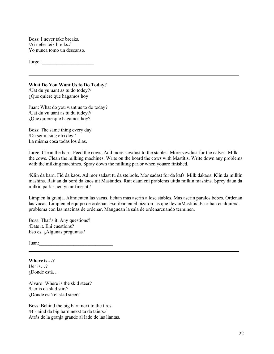Boss: I never take breaks. /Ai nefer teik breiks./ Yo nunca tomo un descanso.

 $Jorge:$ 

#### **What Do You Want Us to Do Today?**

/Uat du yu uant as tu do todey?/ ¿Que quiere que hagamos hoy

Juan: What do you want us to do today? /Uat du yu uant as tu du tudey?/ ¿Que quiere que hagamos hoy?

Boss: The same thing every day. /Da seim tsing efri dey./ La misma cosa todas los dias.

Jorge: Clean the barn. Feed the cows. Add more sawdust to the stables. More sawdust for the calves. Milk the cows. Clean the milking machines. Write on the board the cows with Mastitis. Write down any problems with the milking machines. Spray down the milking parlor when youare finished.

/Klin da barn. Fid da kaos. Ad mor sadast tu da steibols. Mor sadast for da kafs. Milk dakaos. Klin da milkin mashins. Rait an da bord da kaos uit Mastaides. Rait daun eni prablems uitda milkin mashins. Sprey daun da milkin parlar uen yu ar finesht./

Limpien la granja. Alimienten las vacas. Echan mas aserin a lose stables. Mas aserin paralos bebes. Ordenan las vacas. Limpien el equipo de ordenar. Escriban en el pizaron las que llevanMastitis. Escriban cualquiera problema con las macinas de ordenar. Manguean la sala de ordenarcuando terminen.

Boss: That's it. Any questions? /Dats it. Eni cuestions? Eso es. ¿Algunas preguntas?

Juan:

**Where is…?** Uer is…? ¿Donde está…

Alvaro: Where is the skid steer? /Uer is da skid stir?/ ¿Donde está el skid steer?

Boss: Behind the big barn next to the tires. /Bi-jaind da big barn nekst tu da taiers./ Atrás de la granja grande al lado de las llantas.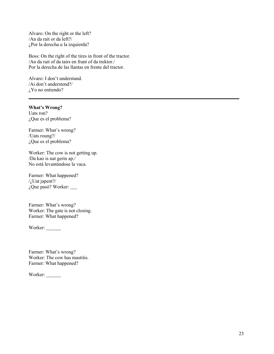Alvaro: On the right or the left? /An da rait or da left?/ ¿Por la derecha u la izquierda?

Boss: On the right of the tires in front of the tractor. /An da rait of da tairs en frant of da trektor./ Por la derecha de las llantas en frente del tractor.

Alvaro: I don't understand. /Ai don't anderstend?/ ¿Yo no entiendo?

#### **What's Wrong?**

Uats ron? ¿Que es el problema?

Farmer: What's wrong? /Uats roung?/ ¿Que es el problema?

Worker: The cow is not getting up. /Da kao is nat gerin ap./ No está levantándose la vaca.

Farmer: What happened? /¿Uat japent?/ ¿Que pasó? Worker:

Farmer: What's wrong? Worker: The gate is not closing. Farmer: What happened?

Worker:

Farmer: What's wrong? Worker: The cow has mastitis. Farmer: What happened?

Worker: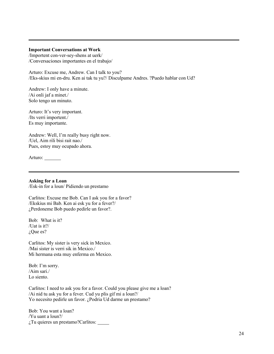#### **Important Conversations at Work**

/Importent con-ver-sey-shens at uerk/ /Conversaciones importantes en el trabajo/

Arturo: Excuse me, Andrew. Can I talk to you? /Eks-skius mi en-dru. Ken ai tak tu yu?/ Disculpame Andres. ?Puedo hablar con Ud?

Andrew: I only have a minute. /Ai onli jaf a minet./ Solo tengo un minuto.

Arturo: It's very important. /Its verri importent./ Es muy importante.

Andrew: Well, I'm really busy right now. /Uel, Aim rili bisi rait nao./ Pues, estoy muy ocupado ahora.

Arturo: \_\_\_\_

**Asking for a Loan** /Esk-in for a loun/ Pidiendo un prestamo

Carlitos: Excuse me Bob. Can I ask you for a favor? /Ekskius mi Bab. Ken ai esk yu for a fever?/ ¿Perdoneme Bob puedo pedirle un favor?.

Bob: What is it? /Uat is it?/ ¿Que es?

Carlitos: My sister is very sick in Mexico. /Mai sister is verri sik in Mexico./ Mi hermana esta muy enferma en Mexico.

Bob: I'm sorry. /Aim sari./ Lo siento.

Carlitos: I need to ask you for a favor. Could you please give me a loan? /Ai nid tu ask yu for a fever. Cud yu plis gif mi a loun?/ Yo necesito pedirle un favor. ¿Podria Ud darme un prestamo?

Bob: You want a loan? /Yu uant a loun?/ ¿Tu quieres un prestamo?Carlitos: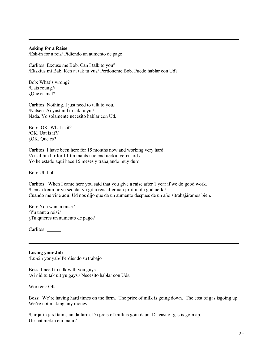#### **Asking for a Raise**

/Esk-in for a reis/ Pidiendo un aumento de pago

Carlitos: Excuse me Bob. Can I talk to you? /Ekskius mi Bab. Ken ai tak tu yu?/ Perdoneme Bob. Puedo hablar con Ud?

Bob: What's wrong? /Uats roung?/ ¿Que es mal?

Carlitos: Nothing. I just need to talk to you. /Natsen. Ai yust nid tu tak tu yu./ Nada. Yo solamente necesito hablar con Ud.

Bob: OK. What is it? /OK. Uat is it?/ ¿OK. Que es?

Carlitos: I have been here for 15 months now and working very hard. /Ai jaf bin hir for fif-tin mants nao end uerkin verri jard./ Yo he estado aqui hace 15 meses y trabajando muy duro.

Bob: Uh-huh.

Carlitos: When I came here you said that you give a raise after 1 year if we do good work. /Uen ai keim jir yu sed dat yu gif a reis after uan jir if ui du gud uerk./ Cuando me vine aqui Ud nos dijo que da un aumento despues de un año sitrabajáramos bien.

Bob: You want a raise? /Yu uant a reis?/ ¿Tu quieres un aumento de pago?

Carlitos:

**Losing your Job** /Lu-sin yor yab/ Perdiendo su trabajo

Boss: I need to talk with you guys. /Ai nid tu tak uit yu gays./ Necesito hablar con Uds.

Workers: OK.

Boss: We're having hard times on the farm. The price of milk is going down. The cost of gas isgoing up. We're not making any money.

/Uir jafin jard taims an da farm. Da prais of milk is goin daun. Da cast of gas is goin ap. Uir nat mekin eni mani./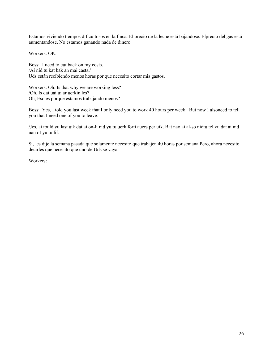Estamos viviendo tiempos dificultosos en la finca. El precio de la leche está bajandose. Elprecio del gas está aumentandose. No estamos ganando nada de dinero.

Workers: OK.

Boss: I need to cut back on my costs. /Ai nid tu kat bak an mai casts./ Uds están recibiendo menos horas por que necesito cortar mis gastos.

Workers: Oh. Is that why we are working less? /Oh. Is dat uai ui ar uerkin les? Oh, Eso es porque estamos trabajando menos?

Boss: Yes, I told you last week that I only need you to work 40 hours per week. But now I alsoneed to tell you that I need one of you to leave.

/Jes, ai tould yu last uik dat ai on-li nid yu tu uerk forti auers per uik. Bat nao ai al-so nidtu tel yu dat ai nid uan of yu tu lif.

Si, les dije la semana pasada que solamente necesito que trabajen 40 horas por semana.Pero, ahora necesito decirles que necesito que uno de Uds se vaya.

Workers: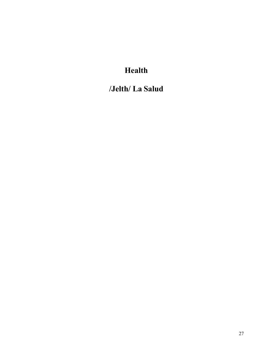### **Health**

**/Jelth/ La Salud**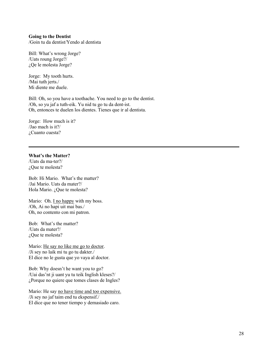#### **Going to the Dentist**

/Goin tu da dentist/Yendo al dentista

Bill: What's wrong Jorge? /Uats roung Jorge?/ ¿Qe le molesta Jorge?

Jorge: My tooth hurts. /Mai tuth jerts./ Mi diente me duele.

Bill: Oh, so you have a toothache. You need to go to the dentist. /Oh, so yu jaf a tuth-eik. Yu nid tu go tu da dent-ist. Oh, entonces te duelen los dientes. Tienes que ir al dentista.

Jorge: How much is it? /Jao mach is it?/ ¿Cuanto cuesta?

#### **What's the Matter?**

/Uats da ma-ter?/ ¿Que te molesta?

Bob: Hi Mario. What's the matter? /Jai Mario. Uats da mater?/ Hola Mario. ¿Que te molesta?

Mario: Oh. I no happy with my boss. /Oh, Ai no hapi uit mai bas./ Oh, no contento con mi patron.

Bob: What's the matter? /Uats da mater?/ ¿Que te molesta?

Mario: He say no like me go to doctor. /Ji sey no laik mi tu go tu dakter./ El dice no le gusta que yo vaya al doctor.

Bob: Why doesn't he want you to go? /Uai das'nt ji uant yu tu teik Inglish kleses?/ ¿Porque no quiere que tomes clases de Ingles?

Mario: He say no have time and too expensive. /Ji sey no jaf taim end tu ekspensif./ El dice que no tener tiempo y demasiado caro.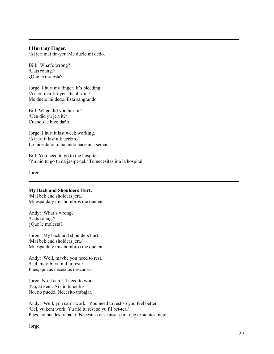#### **I Hurt my Finger**.

/Ai jert mai fin-yer./Me duele mi dedo.

Bill: What's wrong? /Uats roung?/ ¿Que te molesta?

Jorge: I hurt my finger. It's bleeding. /Ai jert mai fin-yer. Its bli-din./ Me duele mi dedo. Está sangrando.

Bill: When did you hurt it? /Uen did yu jert it?/ Cuando le hizo daño.

Jorge: I hurt it last week working. /Ai jert it last uik uerkin./ Lo hice daño trabajando hace una semana.

Bill: You need to go to the hospital. /Yu nid tu go tu da jas-pe-tel./ Tu necesitas ir a la hospital.

Jorge:

#### **My Back and Shoulders Hurt.**

/Mai bek end sholders jert./ Mi espalda y mis hombros me duelen.

Andy: What's wrong? /Uats roung?/ ¿Que le molesta?

Jorge: My back and shoulders hurt. /Mai bek end sholders jert./ Mi espalda y mis hombros me duelen.

Andy: Well, maybe you need to rest. /Uel, mey-bi yu nid tu rest./ Pues, quizas necesitas descansar.

Jorge: No, I can't. I need to work. /No, ai kent. Ai nid tu uerk./ No, no puedo. Necesito trabajar.

Andy: Well, you can't work. You need to rest so you feel better. /Uel, yu kent work. Yu nid tu rest so yu fil bet-ter./ Pues, no puedes trabajar. Necesitas descansar para que te sientes mejor.

Jorge: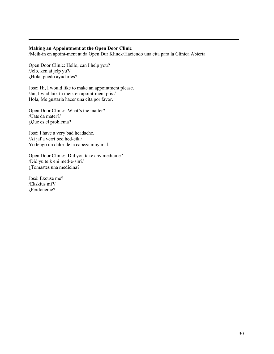#### **Making an Appointment at the Open Door Clinic**

/Meik-in en apoint-ment at da Open Dur Klinek/Haciendo una cita para la Clinica Abierta

Open Door Clinic: Hello, can I help you? /Jelo, ken ai jelp yu?/ ¿Hola, puedo ayudarles?

José: Hi, I would like to make an appointment please. /Jai, I wud laik tu meik en apoint-ment plis./ Hola, Me gustaria hacer una cita por favor.

Open Door Clinic: What's the matter? /Uats da mater?/ ¿Que es el problema?

José: I have a very bad headache. /Ai jaf a verri bed hed-eik./ Yo tengo un dalor de la cabeza muy mal.

Open Door Clinic: Did you take any medicine? /Did yu teik eni med-e-sin?/ ¿Tomastes una medicina?

José: Excuse me? /Ekskius mi?/ ¿Perdoneme?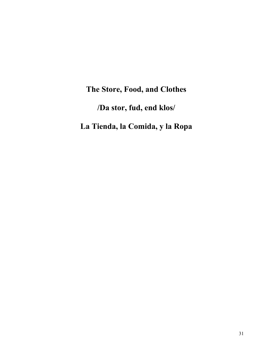## **The Store, Food, and Clothes /Da stor, fud, end klos/**

**La Tienda, la Comida, y la Ropa**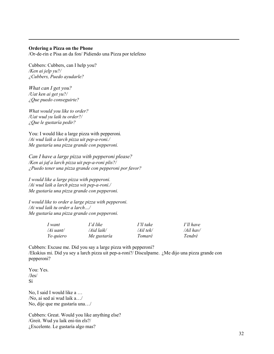#### **Ordering a Pizza on the Phone**

/Or-de-rin e Pisa an da fon/ Pidiendo una Pizza por telefeno

Cubbers: Cubbers, can I help you? */Ken ai jelp yu?/ ¿Cubbers, Puedo ayudarle?*

*What can I get you? /Uat ken ai get yu?/ ¿Que puedo conseguirte?*

*What would you like to order? /Uat wud yu laik tu order?/ ¿Que le gustaría pedir?*

You: I would like a large pizza with pepperoni*. /Ai wud laik a larch pizza uit pep-a-roni./ Me gustaría una pizza grande con pepperoni.*

*Can I have a large pizza with pepperoni please? /Ken ai jaf a larch pizza uit pep-a-roni plis?/ ¿Puedo tener una pizza grande con pepperoni por favor?*

*I would like a large pizza with pepperoni. /Ai wud laik a larch pizza wit pep-a-roni./ Me gustaría una pizza grande con pepperoni.*

*I would like to order a large pizza with pepperoni. /Ai wud laik tu order a larch…/ Me gustaría una pizza grande con pepperoni.*

| 1 want    | I'd like    | I'll take | I'll have |
|-----------|-------------|-----------|-----------|
| /Ai uant/ | /Aid laik/  | /Ail tek/ | /Ail hav/ |
| Yo quiero | Me gustaría | Tomaré    | Tendré    |

Cubbers: Excuse me. Did you say a large pizza with pepperoni? /Ekskius mi. Did yu sey a larch pizza uit pep-a-roni?/ Disculpame. ¿Me dijo una pizza grande con pepperoni?

You: Yes. /Jes/ Sí

No, I said I would like a … /No, ai sed ai wud laik a…/ No, dije que me gustaría una…/

Cubbers: Great. Would you like anything else? /Greit. Wud yu laik eni-tin els?/ ¿Excelente. Le gustaría algo mas?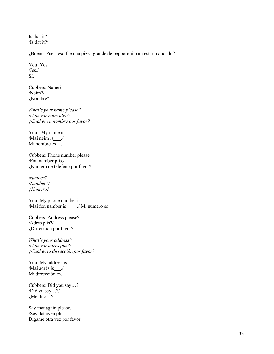Is that it? /Is dat it?/

¿Bueno. Pues, eso fue una pizza grande de pepporoni para estar mandado?

You: Yes. /Jes./ Sí.

Cubbers: Name? /Neim?/ ¿Nombre?

*What's your name please? /Uats yor neim plis?/ ¿Cual es su nombre por favor?*

You: My name is \_\_\_\_\_\_. /Mai neim is  $\frac{1}{2}$ . Mi nombre es\_.

Cubbers: Phone number please. /Fon namber plis./ ¿Numero de telefeno por favor?

*Number? /Namber?/ ¿Numero?*

You: My phone number is \_\_\_\_\_\_. /Mai fon namber is ./ Mi numero es

Cubbers: Address please? /Adrés plis?/ ¿Dirrección por favor?

*What's your address? /Uats yor adrés plis?/ ¿Cual es tu dirrección por favor?*

You: My address is \_\_\_\_\_. /Mai adrés is \_\_\_./ Mi dirrección es.

Cubbers: Did you say…? /Did yu sey…?/ ¿Me dijo…?

Say that again please. /Sey dat ayen plis/ Digame otra vez por favor.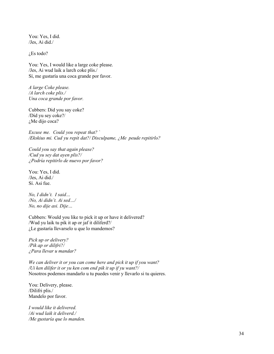You: Yes, I did. /Jes, Ai did./

¿Es todo?

You: Yes, I would like a large coke please. /Jes, Ai wud laik a larch coke plis./ Sí, me gustaría una coca grande por favor.

*A large Coke please. /A larch coke plis./ Una coca grande por favor.*

Cubbers: Did you say coke? /Did yu sey coke?/ ¿Me dijo coca?

*Excuse me. Could you repeat that? ` /Ekskius mi. Cud yu repit dat?/ Disculpame, ¿Me peude repitirlo?*

*Could you say that again please? /Cud yu sey dat ayen plis?/ ¿Podría repitirlo de nuevo por favor?*

You: Yes, I did. /Jes, Ai did./ Sí. Asi fue.

*No, I didn't. I said… /No, Ai didn't. Ai sed…/ No, no dije asi. Dije…*

Cubbers: Would you like to pick it up or have it delivered? /Wud yu laik tu pik it ap or jaf it diliferd?/ ¿Le gustaría llevarselo u que lo mandemos?

*Pick up or delivery? /Pik ap or dilifri?/ ¿Para llevar u mandar?*

*We can deliver it or you can come here and pick it up if you want? /Ui ken dilifer it or yu ken com end pik it up if yu want?/* Nosotros podemos mandarlo u tu puedes venir y llevarlo si tu quieres.

You: Delivery, please. /Dilifri plis./ Mandelo por favor.

*I would like it delivered. /Ai wud laik it deliverd./ /Me gustaría que lo manden.*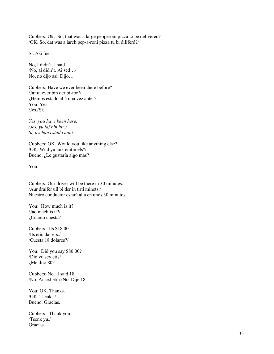Cubbers: Ok. So, that was a large pepperoni pizza to be delivered? /OK. So, dat was a larch pep-a-roni pizza tu bi diliferd?/

Sí. Asi fue.

No, I didn't. I said /No, ai didn't. Ai sed…/ No, no dijo asi. Dijo…

Cubbers: Have we ever been there before? /Jaf ui ever bin der bi-for?/ ¿Hemos estado allá una vez antes? You: Yes. /Jes./Sí.

*Yes, you have been here. /Jes, yu jaf bin hir./ Sí, les han estado aqui.*

Cubbers: OK. Would you like anything else? /OK. Wud yu laik enitin els?/ Bueno. ¿Le gustaría algo mas?

You:

Cubbers: Our driver will be there in 30 minutes. /Aur draifer uil bi der in tirti minets./ Nuestro conductor estará allá en unos 30 minutos.

You: How much is it? /Jao mach is it?/ ¿Cuanto cuesta?

Cubbers: Its \$18.00 /Its etin dal-ers./ /Cuesta 18 dolares?/

You: Did you say \$80.00? /Did yu sey eti?/ ¿Me dijo 80?

Cubbers: No. I said 18. /No. Ai sed etin./No. Dije 18.

You: OK. Thanks. /OK. Tsenks./ Bueno. Gracias.

Cubbers: Thank you. /Tsenk yu./ Gracias.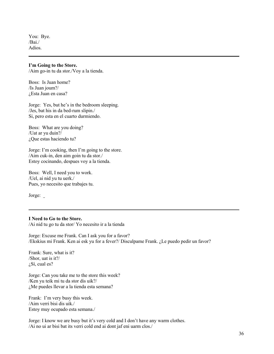You: Bye. /Bai./ Adios.

#### **I'm Going to the Store.**

/Aim go-in tu da stor./Voy a la tienda.

Boss: Is Juan home? /Is Juan joum?/ ¿Esta Juan en casa?

Jorge: Yes, but he's in the bedroom sleeping. /Jes, bat his in da bed-rum slipin./ Si, pero esta en el cuarto durmiendo.

Boss: What are you doing? /Uat ar yu duin?/ ¿Que estas haciendo tu?

Jorge: I'm cooking, then I'm going to the store. /Aim cuk-in, den aim goin tu da stor./ Estoy cocinando, despues voy a la tienda.

Boss: Well, I need you to work. /Uel, ai nid yu tu uerk./ Pues, yo necesito que trabajes tu.

Jorge:

#### **I Need to Go to the Store.**

/Ai nid tu go tu da stor/ Yo necesito ir a la tienda

Jorge: Excuse me Frank. Can I ask you for a favor? /Ekskius mi Frank. Ken ai esk yu for a fever?/ Disculpame Frank. ¿Le puedo pedir un favor?

Frank: Sure, what is it? /Shor, uat is it?/ ¿Sí, cual es?

Jorge: Can you take me to the store this week? /Ken yu teik mi tu da stor dis uik?/ ¿Me puedes llevar a la tienda esta semana?

Frank: I'm very busy this week. /Aim verri bisi dis uik./ Estoy muy ocupado esta semana./

Jorge: I know we are busy but it's very cold and I don't have any warm clothes. /Ai no ui ar bisi bat its verri cold end ai dont jaf eni uarm clos./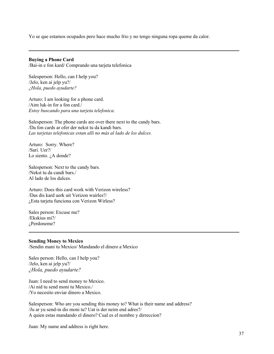Yo se que estamos ocupados pero hace mucho frio y no tengo ninguna ropa queme da calor.

#### **Buying a Phone Card**

/Bai-in e fon kard/ Comprando una tarjeta telefonica

Salesperson: Hello, can I help you? /Jelo, ken ai jelp yu?/ *¿Hola, puedo ayudarte?*

Arturo: I am looking for a phone card. /Aim luk-in for a fon card./ *Estoy buscando para una tarjeta telefonica.*

Salesperson: The phone cards are over there next to the candy bars. /Da fon cards ar ofer der nekst tu da kandi bars. *Las tarjetas telefonicas estan alli no más al lado de los dulces.*

Arturo: Sorry. Where? /Sari. Uer?/ Lo siento. ¿A donde?

Salesperson: Next to the candy bars. /Nekst tu da candi bars./ Al lado de los dulces.

Arturo: Does this card work with Verizon wireless? /Das dis kard uerk uit Verizon wairles?/ ¿Esta tarjeta funciona con Verizon Wirless?

Sales person: Excuse me? /Ekskius mi?/ ¿Perdoneme?

#### **Sending Money to Mexico**

/Sendin mani tu Mexico/ Mandando el dinero a Mexico

Sales person: Hello, can I help you? /Jelo, ken ai jelp yu?/ *¿Hola, puedo ayudarte?*

Juan: I need to send money to Mexico. /Ai nid tu send moni tu Mexico./ /Yo necesito enviar dinero a Mexico.

Salesperson: Who are you sending this money to? What is their name and address? /Ju ar yu send-in dis moni tu? Uat is der neim end adres?/ A quien estas mandando el dinero? Cual es el nombre y dirreccion?

Juan: My name and address is right here.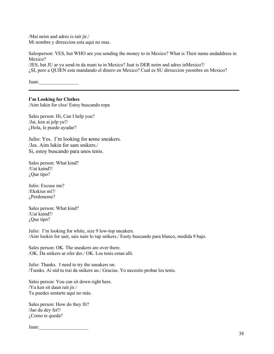/Mai neim and adres is rait jir./ Mi nombre y dirreccion esta aqui no mas.

Salesperson: YES, but WHO are you sending the money to in Mexico? What is Their name andaddress in Mexico?

/JES, bat JU ar yu send-in da mani tu in Mexico? Juat is DER neim and adres inMexico?/ ¿SI, pero a QUIEN esta mandando el dinero en Mexico? Cual es SU dirreccion ynombre en Mexico?

Juan:\_\_\_\_\_\_\_\_\_\_\_\_\_\_\_\_

#### **I'm Looking for Clothes**

/Aim lukin for cloz/ Estoy buscando ropa

Sales person: Hi, Can I help you? /Jai, ken ai jelp yu?/ ¿Hola, le puedo ayudar?

Julio: Yes. I'm looking for **s**ome sneakers. /Jes. Aim lukin for sam snikers./ Si, estoy buscando para unos tenis.

Sales person: What kind? /Uat kaind?/ ¿Que tipo?

Julio: Excuse me? /Ekskius mi?/ ¿Perdoneme?

Sales person: What kind? /Uat kaind?/ ¿Que tipo?

Julio: I'm looking for white, size 9 low-top sneakers. /Aim lookin for uait, sais nain lo tap snikers./ Esoty buscando para blanco, medida 9 bajo.

Sales person: OK. The sneakers are over there. /OK. Da snikers ar ofer der./ OK. Los tenis estan alli.

Julio: Thanks. I need to try the sneakers on. /Tsenks. Ai nid tu trai da snikers an./ Gracias. Yo necesito probar los tenis.

Sales person: You can sit down right here. /Yu ken sit daun rait jir./ Tu puedes sentarte aqui no más.

Sales person: How do they fit? /Jao du dey fet?/ ¿Como te queda?

Juan: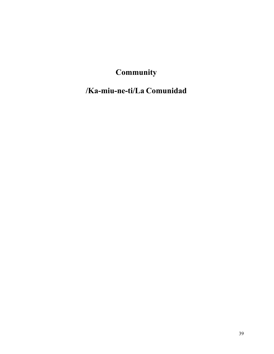### **Community**

### **/Ka-miu-ne-ti/La Comunidad**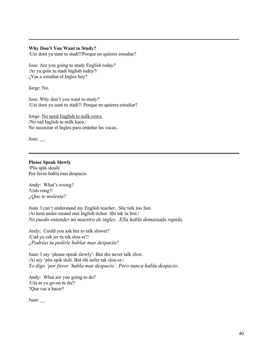#### **Why Don't You Want to Study?**

/Uai dont yu uant tu stadi?/Porque no quieres estudiar?

Jose: Are you going to study English today? /Ar yu goin tu stadi Inglish tudey?/ ¿Vas a estudiar el Ingles hoy?

Jorge: No.

Jose: Why don't you want to study? /Uai dont yu uant tu stadi?/ Porque no quieres estudiar?

Jorge: No need English to milk cows. /No nid Inglish tu milk kaos./ No necesitar el Ingles para ordeñar las vacas.

Jose:

#### **Please Speak Slowly**

/Plis spik slouli/ Por favor habla mas despacio

Andy: What's wrong? /Uats rong?/ *¿Que te molesta?*

Juan: I can't understand my English teacher. She talk too fast. /Ai kent ander-steand mai Inglish tichur. Shi tak tu fest./ *No puedo entender mi maestro de ingles. Ella habla demasiada rapida.*

Andy: Could you ask her to talk slower? /Cud yu esk jer tu tak slou-er?/ *¿Podrías tu pedirle hablar mas despacio?*

Juan: I say 'please speak slowly'. But she never talk slow. /Ai sey 'plis spik sloli. Bot shi nefer tak slou-er./ *Yo digo 'por favor 'habla mas despacio'. Pero nunca habla despacio.*

Andy: What are you going to do? /Uat ar yu go-en tu du?/ ?Que vas a hacer?

Juan: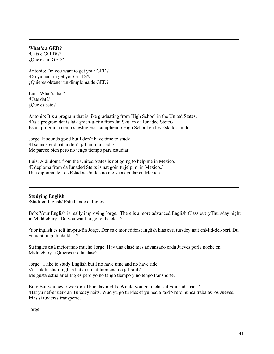#### **What's a GED?**

/Uats e Gi I Di?/ ¿Que es un GED?

Antonio: Do you want to get your GED? /Du yu uant tu get yor Gi I Di?/ ¿Quieres obtener un dimploma de GED?

Luis: What's that? /Uats dat?/ ¿Que es esto?

Antonio: It's a program that is like graduating from High School in the United States. /Ets a progrem dat is laik grach-u-etin from Jai Skul in da Iunaded Steits./ Es un programa como si estuvieras cumpliendo High School en los EstadosUnidos.

Jorge: It sounds good but I don't have time to study. /It saunds gud bat ai don't jaf taim tu stadi./ Me parece bien pero no tengo tiempo para estudiar.

Luis: A diploma from the United States is not going to help me in Mexico. /E deploma from da Iunaded Steits is nat goin tu jelp mi in Mexico./ Una diploma de Los Estados Unidos no me va a ayudar en Mexico.

#### **Studying English**

/Stadi-en Inglish/ Estudiando el Ingles

Bob: Your English is really improving Jorge. There is a more advanced English Class everyThursday night in Middlebury. Do you want to go to the class?

/Yor inglish es reli im-pru-fin Jorge. Der es e mor edfenst Inglish klas evri tursdey nait enMid-del-beri. Du yu uant tu go tu da klas?/

Su ingles está mejorando mucho Jorge. Hay una clasé mas advanzado cada Jueves porla noche en Middlebury. ¿Quieres ir a la clasé?

Jorge: I like to study English but I no have time and no have ride. /Ai laik tu stadi Inglish bat ai no jaf taim end no jaf raid./ Me gusta estudiar el Ingles pero yo no tengo tiempo y no tengo transporte.

Bob: But you never work on Thursday nights. Would you go to class if you had a ride? /Bat yu nef-er uerk an Tursdey naits. Wud yu go tu kles ef yu hed a raid?/Pero nunca trabajas los Jueves. Irías si tuvieras transporte?

Jorge: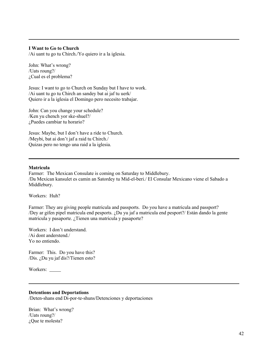#### **I Want to Go to Church**

/Ai uant tu go tu Chirch./Yo quiero ir a la iglesia.

John: What's wrong? /Uats roung?/ ¿Cual es el problema?

Jesus: I want to go to Church on Sunday but I have to work. /Ai uant tu go tu Chirch an sandey bat ai jaf tu uerk/ Quiero ir a la iglesia el Domingo pero necesito trabajar.

John: Can you change your schedule? /Ken yu chench yor ske-shuel?/ ¿Puedes cambiar tu horario?

Jesus: Maybe, but I don't have a ride to Church. /Meybi, bat ai don't jaf a raid tu Chirch./ Quizas pero no tengo una raid a la iglesia.

#### **Matricula**

Farmer: The Mexican Consulate is coming on Saturday to Middlebury. /Da Mexican kansulet es camin an Satordey tu Mid-el-beri./ El Consular Mexicano viene el Sabado a Middlebury.

Workers: Huh?

Farmer: They are giving people matricula and passports. Do you have a matricula and passport? /Dey ar gifen pipel matricula end pesports. ¿Du yu jaf a matricula end pesport?/ Están dando la gente matricula y pasaporte. ¿Tienen una matricula y pasaporte?

Workers: I don't understand. /Ai dont anderstend./ Yo no entiendo.

Farmer: This. Do you have this? /Dis. ¿Du yu jaf dis?/Tienen esto?

Workers: \_\_\_\_\_\_

#### **Detentions and Deportations**

/Deten-shans end Di-por-te-shuns/Detenciones y deportaciones

Brian: What's wrong? /Uats roung?/ ¿Que te molesta?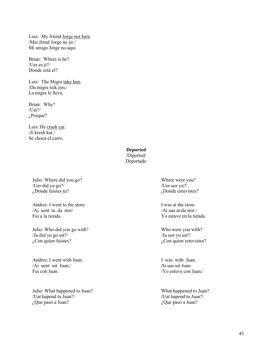Luis: My friend Jorge not here. /Mai frend Jorge no jir./ Mi amigo Jorge no aqui.

Brian: Where is he? /Uer es ji?/ Donde está el?

Luis: The Migra take him. /Da migra teik jim./ La migra le lleva.

Brian: Why? /Uai?/ ¿Porque?

Luis: He crash car. /Ji kresh kar./ Se choca el carro.

#### **Deported**

/Diported/ Deportado

Julio: Where did you go? /Uer did yu go?/ ¿Donde fuistes tu?

Andres: I went to the store. /Ai uent tu da stor/ Fui a la tienda.

Julio: Who did you go with? /Ju did yu go uit?/ ¿Con quien fuistes?

Andres: I went with Juan. /Ai uent uit Juan./ Fui con Juan.

Julio: What happened to Juan? /Uat hapend tu Juan?/ ¿Que pasó a Juan?

Where were you? /Uer uor yu?/ ¿Donde estuvistes?

I was at the store. /Ai uas at da stor./ Yo estuve en la tienda.

Who were you with? /Ju uor yu uit?/ ¿Con quien estuvistes?

I was with Juan. Ai uas uit Juan. /Yo estuve con Juan./

What happened to Juan? /Uat hapend tu Juan?/ ¿Que pasó a Juan?